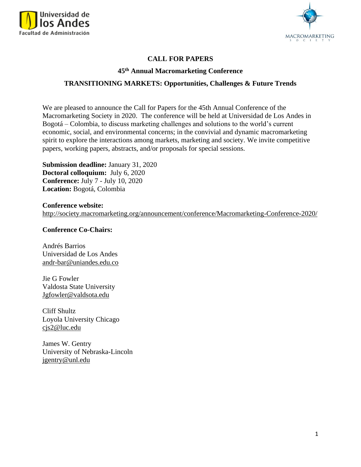



## **CALL FOR PAPERS**

#### **45th Annual Macromarketing Conference**

## **TRANSITIONING MARKETS: Opportunities, Challenges & Future Trends**

We are pleased to announce the Call for Papers for the 45th Annual Conference of the Macromarketing Society in 2020. The conference will be held at Universidad de Los Andes in Bogotá – Colombia, to discuss marketing challenges and solutions to the world's current economic, social, and environmental concerns; in the convivial and dynamic macromarketing spirit to explore the interactions among markets, marketing and society. We invite competitive papers, working papers, abstracts, and/or proposals for special sessions.

**Submission deadline:** January 31, 2020 **Doctoral colloquium:** July 6, 2020 **Conference:** July 7 - July 10, 2020 **Location:** Bogotá, Colombia

**Conference website:**  <http://society.macromarketing.org/announcement/conference/Macromarketing-Conference-2020/>

#### **Conference Co-Chairs:**

Andrés Barrios Universidad de Los Andes [andr-bar@uniandes.edu.co](mailto:andr-bar@uniandes.edu.co)

Jie G Fowler Valdosta State University [Jgfowler@valdsota.edu](mailto:Jgfowler@valdsota.edu)

Cliff Shultz Loyola University Chicago cjs2@luc.edu

James W. Gentry University of Nebraska-Lincoln [jgentry@unl.edu](mailto:jgentry@unl.edu)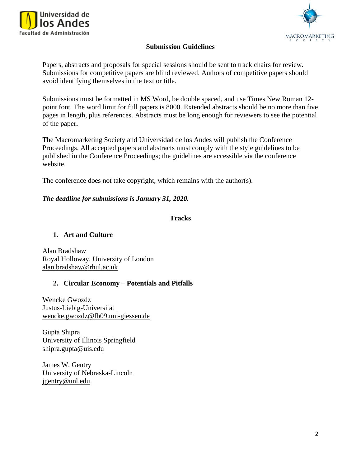



## **Submission Guidelines**

Papers, abstracts and proposals for special sessions should be sent to track chairs for review. Submissions for competitive papers are blind reviewed. Authors of competitive papers should avoid identifying themselves in the text or title.

Submissions must be formatted in MS Word, be double spaced, and use Times New Roman 12 point font. The word limit for full papers is 8000. Extended abstracts should be no more than five pages in length, plus references. Abstracts must be long enough for reviewers to see the potential of the paper**.** 

The Macromarketing Society and Universidad de los Andes will publish the Conference Proceedings. All accepted papers and abstracts must comply with the style guidelines to be published in the Conference Proceedings; the guidelines are accessible via the conference website.

The conference does not take copyright, which remains with the author(s).

#### *The deadline for submissions is January 31, 2020.*

#### **Tracks**

#### **1. Art and Culture**

Alan Bradsha[w](https://www.royalholloway.ac.uk/) [Royal Holloway, University of London](https://www.royalholloway.ac.uk/)  [alan.bradshaw@rhul.ac.uk](mailto:alan.bradshaw@rhul.ac.uk)

#### **2. Circular Economy – Potentials and Pitfalls**

Wencke Gwozdz Justus-Liebig-Universität [wencke.gwozdz@fb09.uni-giessen.de](mailto:wencke.gwozdz@fb09.uni-giessen.de)

Gupta Shipra University of Illinois Springfield [shipra.gupta@uis.edu](mailto:shipra.gupta@uis.edu)

James W. Gentry University of Nebraska-Lincoln [jgentry@unl.edu](mailto:jgentry@unl.edu)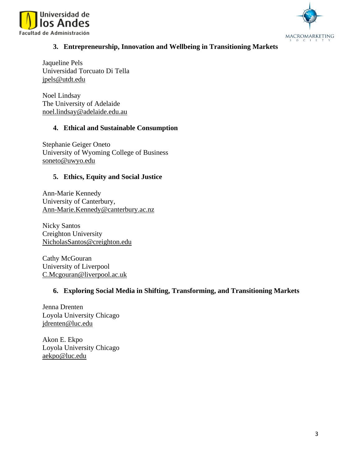



# **3. Entrepreneurship, Innovation and Wellbeing in Transitioning Markets**

Jaqueline Pels Universidad Torcuato Di Tella [jpels@utdt.edu](mailto:jpels@utdt.edu)

Noel Lindsay The University of Adelaide [noel.lindsay@adelaide.edu.au](mailto:noel.lindsay@adelaide.edu.au)

# **4. Ethical and Sustainable Consumption**

Stephanie Geiger Oneto University of Wyoming College of Business [soneto@uwyo.edu](mailto:soneto@uwyo.edu)

# **5. Ethics, Equity and Social Justice**

Ann-Marie Kennedy University of Canterbury, [Ann-Marie.Kennedy@canterbury.ac.nz](mailto:Ann-Marie.Kennedy@canterbury.ac.nz)

Nicky Santos Creighton University [NicholasSantos@creighton.edu](mailto:NicholasSantos@creighton.edu)

Cathy McGouran University of Liverpool [C.Mcgouran@liverpool.ac.uk](mailto:C.Mcgouran@liverpool.ac.uk)

## **6. Exploring Social Media in Shifting, Transforming, and Transitioning Markets**

Jenna Drenten Loyola University Chicago [jdrenten@luc.edu](mailto:jdrenten@luc.edu)

Akon E. Ekpo Loyola University Chicago [aekpo@luc.edu](mailto:aekpo@luc.edu)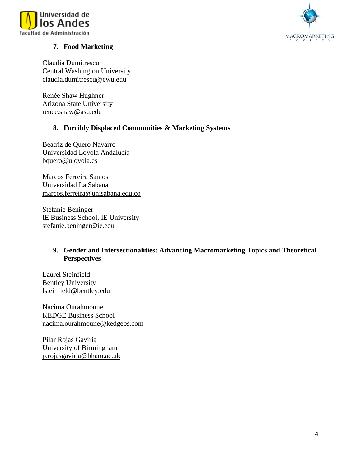



# **7. Food Marketing**

Claudia Dumitrescu Central Washington University [claudia.dumitrescu@cwu.edu](mailto:claudia.dumitrescu@cwu.edu)

Renée Shaw Hughner Arizona State University [renee.shaw@asu.edu](mailto:renee.shaw@asu.edu)

#### **8. Forcibly Displaced Communities & Marketing Systems**

Beatriz de Quero Navarro Universidad Loyola Andalucía [bquero@uloyola.es](mailto:bquero@uloyola.es)

Marcos Ferreira Santos Universidad La Sabana [marcos.ferreira@unisabana.edu.co](mailto:marcos.ferreira@unisabana.edu.co)

Stefanie Beninger IE Business School, IE University [stefanie.beninger@ie.edu](mailto:stefanie.beninger@ie.edu)

## **9. Gender and Intersectionalities: Advancing Macromarketing Topics and Theoretical Perspectives**

Laurel Steinfield Bentley University [lsteinfield@bentley.edu](mailto:lsteinfield@bentley.edu)

Nacima Ourahmoune KEDGE Business School [nacima.ourahmoune@kedgebs.com](mailto:nacima.ourahmoune@kedgebs.com)

Pilar Rojas Gaviria University of Birmingham [p.rojasgaviria@bham.ac.uk](mailto:p.rojasgaviria@bham.ac.uk)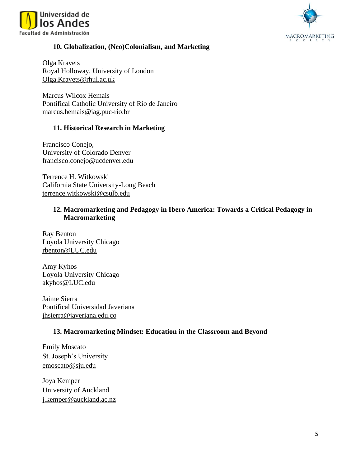



## **10. Globalization, (Neo)Colonialism, and Marketing**

Olga Kravets Royal Holloway, University of London [Olga.Kravets@rhul.ac.uk](mailto:Olga.Kravets@rhul.ac.uk)

Marcus Wilcox Hemais Pontifical Catholic University of Rio de Janeiro [marcus.hemais@iag.puc-rio.br](mailto:marcus.hemais@iag.puc-rio.br)

## **11. Historical Research in Marketing**

Francisco Conejo, University of Colorado Denver [francisco.conejo@ucdenver.edu](mailto:francisco.conejo@ucdenver.edu)

Terrence H. Witkowski California State University-Long Beach [terrence.witkowski@csulb.edu](mailto:terrence.witkowski@csulb.edu)

# **12. Macromarketing and Pedagogy in Ibero America: Towards a Critical Pedagogy in Macromarketing**

Ray Benton Loyola University Chicago [rbenton@LUC.edu](mailto:rbenton@LUC.edu)

Amy Kyhos Loyola University Chicago akyhos@LUC.edu

Jaime Sierra Pontifical Universidad Javeriana [jhsierra@javeriana.edu.co](mailto:jhsierra@javeriana.edu.co)

## **13. Macromarketing Mindset: Education in the Classroom and Beyond**

Emily Moscato St. Joseph's University [emoscato@sju.edu](mailto:emoscato@sju.edu)

Joya Kemper University of Auckland [j.kemper@auckland.ac.nz](mailto:j.kemper@auckland.ac.nz)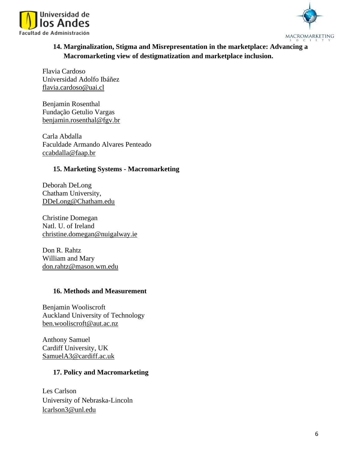



# **14. Marginalization, Stigma and Misrepresentation in the marketplace: Advancing a Macromarketing view of destigmatization and marketplace inclusion.**

Flavia Cardoso Universidad Adolfo Ibáñez [flavia.cardoso@uai.cl](mailto:flavia.cardoso@uai.cl)

Benjamin Rosenthal Fundação Getulio Vargas [benjamin.rosenthal@fgv.br](mailto:benjamin.rosenthal@fgv.br)

Carla Abdalla Faculdade Armando Alvares Penteado [ccabdalla@faap.br](mailto:ccabdalla@faap.br)

# **15. Marketing Systems - Macromarketing**

Deborah DeLong Chatham University, [DDeLong@Chatham.edu](mailto:DDeLong@Chatham.edu)

Christine Domegan Natl. U. of Ireland [christine.domegan@nuigalway.ie](mailto:christine.domegan@nuigalway.ie)

Don R. Rahtz William and Mary [don.rahtz@mason.wm.edu](mailto:don.rahtz@mason.wm.edu)

## **16. Methods and Measurement**

Benjamin Wooliscroft Auckland University of Technology [ben.wooliscroft@aut.ac.nz](mailto:ben.wooliscroft@aut.ac.nz)

Anthony Samuel Cardiff University, UK [SamuelA3@cardiff.ac.uk](mailto:SamuelA3@cardiff.ac.uk)

# **17. Policy and Macromarketing**

Les Carlson University of Nebraska-Lincoln [lcarlson3@unl.edu](mailto:lcarlson3@unl.edu)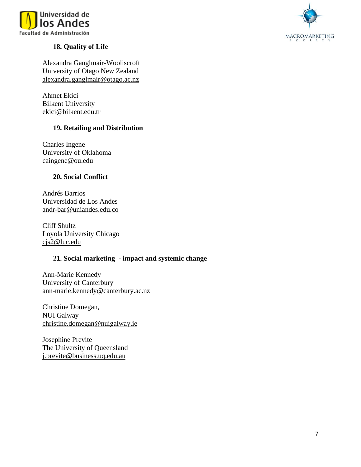



# **18. Quality of Life**

Alexandra Ganglmair-Wooliscroft University of Otago New Zealand [alexandra.ganglmair@otago.ac.nz](mailto:alexandra.ganglmair@otago.ac.nz)

Ahmet Ekici Bilkent University [ekici@bilkent.edu.tr](mailto:ekici@bilkent.edu.tr)

# **19. Retailing and Distribution**

Charles Ingene University of Oklahoma [caingene@ou.edu](mailto:caingene@ou.edu)

# **20. Social Conflict**

Andrés Barrios Universidad de Los Andes [andr-bar@uniandes.edu.co](mailto:andr-bar@uniandes.edu.co)

Cliff Shultz Loyola University Chicago cjs2@luc.edu

## **21. Social marketing - impact and systemic change**

Ann-Marie Kennedy University of Canterbury [ann-marie.kennedy@canterbury.ac.nz](mailto:ann-marie.kennedy@canterbury.ac.nz)

Christine Domegan, NUI Galway [christine.domegan@nuigalway.ie](mailto:christine.domegan@nuigalway.ie)

Josephine Previte The University of Queensland [j.previte@business.uq.edu.au](mailto:j.previte@business.uq.edu.au)